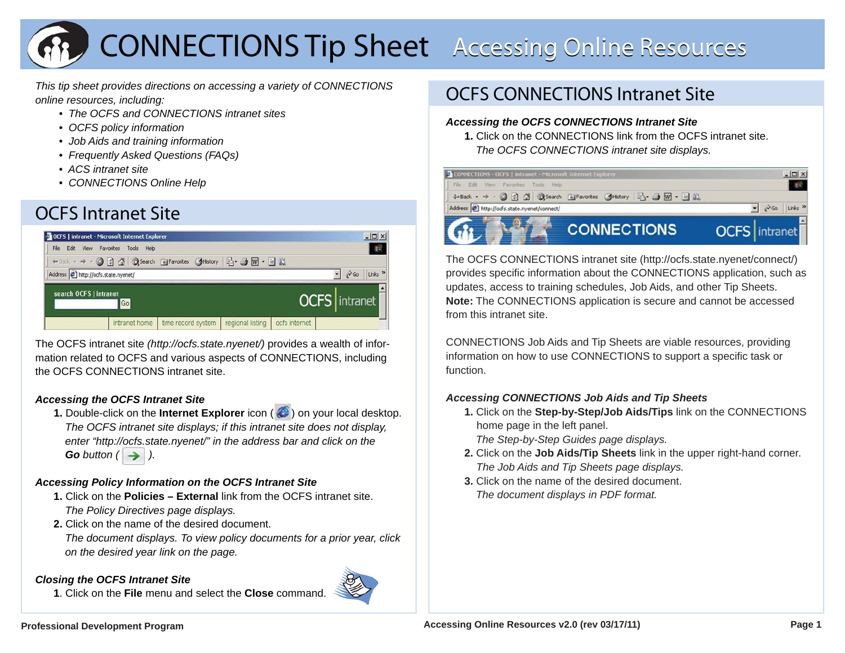# **CONNECTIONS Tip Sheet** Accessing Online Resources

*This tip sheet provides directions on accessing a variety of CONNECTIONS online resources, including:*

- *The OCFS and CONNECTIONS intranet sites*
	- *OCFS policy information*
	- *Job Aids and training information*
	- *Frequently Asked Questions (FAQs)*
	- *ACS intranet site*
	- *CONNECTIONS Online Help*

# OCFS Intranet Site



The OCFS intranet site *(http://ocfs.state.nyenet/)* provides a wealth of information related to OCFS and various aspects of CONNECTIONS, including the OCFS CONNECTIONS intranet site.

## *Accessing the OCFS Intranet Site*

**1.** Double-click on the **Internet Explorer** icon (  $\bigodot$  ) on your local desktop. *The OCFS intranet site displays; if this intranet site does not display, enter "http://ocfs.state.nyenet/" in the address bar and click on the*   $Go$  *button*  $($   $\rightarrow$   $)$ .

## *Accessing Policy Information on the OCFS Intranet Site*

- **1.** Click on the **Policies External** link from the OCFS intranet site. *The Policy Directives page displays.*
- **2.** Click on the name of the desired document.

*The document displays. To view policy documents for a prior year, click on the desired year link on the page.*

## *Closing the OCFS Intranet Site*

**1**. Click on the **File** menu and select the **Close** command.



# OCFS CONNECTIONS Intranet Site

### *Accessing the OCFS CONNECTIONS Intranet Site*

**1.** Click on the CONNECTIONS link from the OCFS intranet site. *The OCFS CONNECTIONS intranet site displays.*



The OCFS CONNECTIONS intranet site (http://ocfs.state.nyenet/connect/) provides specific information about the CONNECTIONS application, such as updates, access to training schedules, Job Aids, and other Tip Sheets. **Note:** The CONNECTIONS application is secure and cannot be accessed from this intranet site.

CONNECTIONS Job Aids and Tip Sheets are viable resources, providing information on how to use CONNECTIONS to support a specific task or function.

## *Accessing CONNECTIONS Job Aids and Tip Sheets*

**1.** Click on the **Step-by-Step/Job Aids/Tips** link on the CONNECTIONS home page in the left panel.

*The Step-by-Step Guides page displays.*

- **2.** Click on the **Job Aids/Tip Sheets** link in the upper right-hand corner. *The Job Aids and Tip Sheets page displays.*
- **3.** Click on the name of the desired document.*The document displays in PDF format.*